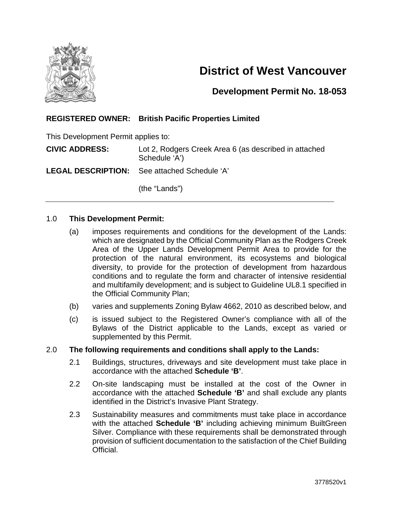

# **District of West Vancouver**

### **Development Permit No. 18-053**

#### **REGISTERED OWNER: British Pacific Properties Limited**

This Development Permit applies to:

**CIVIC ADDRESS:** Lot 2, Rodgers Creek Area 6 (as described in attached Schedule 'A')

**LEGAL DESCRIPTION:** See attached Schedule 'A'

(the "Lands")

#### 1.0 **This Development Permit:**

- (a) imposes requirements and conditions for the development of the Lands: which are designated by the Official Community Plan as the Rodgers Creek Area of the Upper Lands Development Permit Area to provide for the protection of the natural environment, its ecosystems and biological diversity, to provide for the protection of development from hazardous conditions and to regulate the form and character of intensive residential and multifamily development; and is subject to Guideline UL8.1 specified in the Official Community Plan;
- (b) varies and supplements Zoning Bylaw 4662, 2010 as described below, and
- (c) is issued subject to the Registered Owner's compliance with all of the Bylaws of the District applicable to the Lands, except as varied or supplemented by this Permit.

#### 2.0 **The following requirements and conditions shall apply to the Lands:**

- 2.1 Buildings, structures, driveways and site development must take place in accordance with the attached **Schedule 'B'**.
- 2.2 On-site landscaping must be installed at the cost of the Owner in accordance with the attached **Schedule 'B'** and shall exclude any plants identified in the District's Invasive Plant Strategy.
- 2.3 Sustainability measures and commitments must take place in accordance with the attached **Schedule 'B'** including achieving minimum BuiltGreen Silver. Compliance with these requirements shall be demonstrated through provision of sufficient documentation to the satisfaction of the Chief Building Official.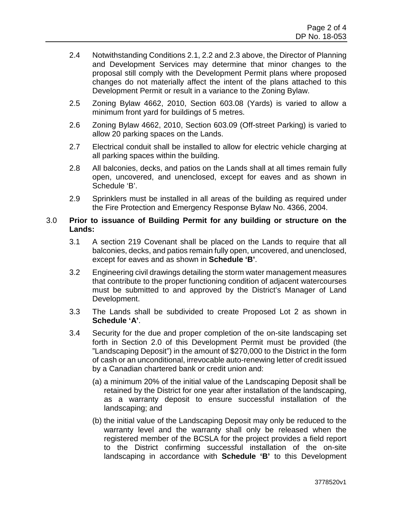- 2.4 Notwithstanding Conditions 2.1, 2.2 and 2.3 above, the Director of Planning and Development Services may determine that minor changes to the proposal still comply with the Development Permit plans where proposed changes do not materially affect the intent of the plans attached to this Development Permit or result in a variance to the Zoning Bylaw.
- 2.5 Zoning Bylaw 4662, 2010, Section 603.08 (Yards) is varied to allow a minimum front yard for buildings of 5 metres.
- 2.6 Zoning Bylaw 4662, 2010, Section 603.09 (Off-street Parking) is varied to allow 20 parking spaces on the Lands.
- 2.7 Electrical conduit shall be installed to allow for electric vehicle charging at all parking spaces within the building.
- 2.8 All balconies, decks, and patios on the Lands shall at all times remain fully open, uncovered, and unenclosed, except for eaves and as shown in Schedule 'B'.
- 2.9 Sprinklers must be installed in all areas of the building as required under the Fire Protection and Emergency Response Bylaw No. 4366, 2004.

#### 3.0 **Prior to issuance of Building Permit for any building or structure on the Lands:**

- 3.1 A section 219 Covenant shall be placed on the Lands to require that all balconies, decks, and patios remain fully open, uncovered, and unenclosed, except for eaves and as shown in **Schedule 'B'**.
- 3.2 Engineering civil drawings detailing the storm water management measures that contribute to the proper functioning condition of adjacent watercourses must be submitted to and approved by the District's Manager of Land Development.
- 3.3 The Lands shall be subdivided to create Proposed Lot 2 as shown in **Schedule 'A'**.
- 3.4 Security for the due and proper completion of the on-site landscaping set forth in Section 2.0 of this Development Permit must be provided (the "Landscaping Deposit") in the amount of \$270,000 to the District in the form of cash or an unconditional, irrevocable auto-renewing letter of credit issued by a Canadian chartered bank or credit union and:
	- (a) a minimum 20% of the initial value of the Landscaping Deposit shall be retained by the District for one year after installation of the landscaping, as a warranty deposit to ensure successful installation of the landscaping; and
	- (b) the initial value of the Landscaping Deposit may only be reduced to the warranty level and the warranty shall only be released when the registered member of the BCSLA for the project provides a field report to the District confirming successful installation of the on-site landscaping in accordance with **Schedule 'B'** to this Development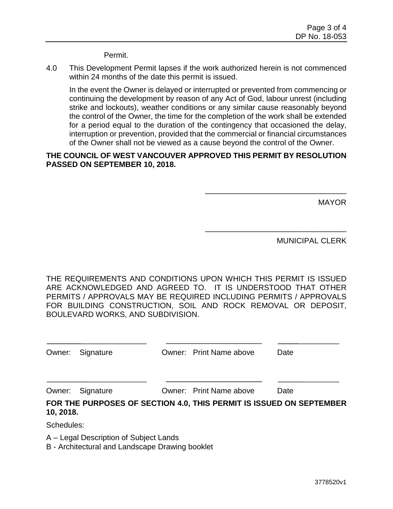Permit.

4.0 This Development Permit lapses if the work authorized herein is not commenced within 24 months of the date this permit is issued.

In the event the Owner is delayed or interrupted or prevented from commencing or continuing the development by reason of any Act of God, labour unrest (including strike and lockouts), weather conditions or any similar cause reasonably beyond the control of the Owner, the time for the completion of the work shall be extended for a period equal to the duration of the contingency that occasioned the delay, interruption or prevention, provided that the commercial or financial circumstances of the Owner shall not be viewed as a cause beyond the control of the Owner.

#### **THE COUNCIL OF WEST VANCOUVER APPROVED THIS PERMIT BY RESOLUTION PASSED ON SEPTEMBER 10, 2018.**

MAYOR

MUNICIPAL CLERK

\_\_\_\_\_\_\_\_\_\_\_\_\_\_\_\_\_\_\_\_\_\_\_\_\_\_\_\_\_\_\_\_\_

\_\_\_\_\_\_\_\_\_\_\_\_\_\_\_\_\_\_\_\_\_\_\_\_\_\_\_\_\_\_\_\_\_

THE REQUIREMENTS AND CONDITIONS UPON WHICH THIS PERMIT IS ISSUED ARE ACKNOWLEDGED AND AGREED TO. IT IS UNDERSTOOD THAT OTHER PERMITS / APPROVALS MAY BE REQUIRED INCLUDING PERMITS / APPROVALS FOR BUILDING CONSTRUCTION, SOIL AND ROCK REMOVAL OR DEPOSIT, BOULEVARD WORKS, AND SUBDIVISION.

|           | Owner: Signature | Owner: Print Name above | Date                                                                |
|-----------|------------------|-------------------------|---------------------------------------------------------------------|
|           |                  |                         |                                                                     |
|           | Owner: Signature | Owner: Print Name above | Date                                                                |
| 10, 2018. |                  |                         | FOR THE PURPOSES OF SECTION 4.0, THIS PERMIT IS ISSUED ON SEPTEMBER |

Schedules:

A – Legal Description of Subject Lands

B - Architectural and Landscape Drawing booklet